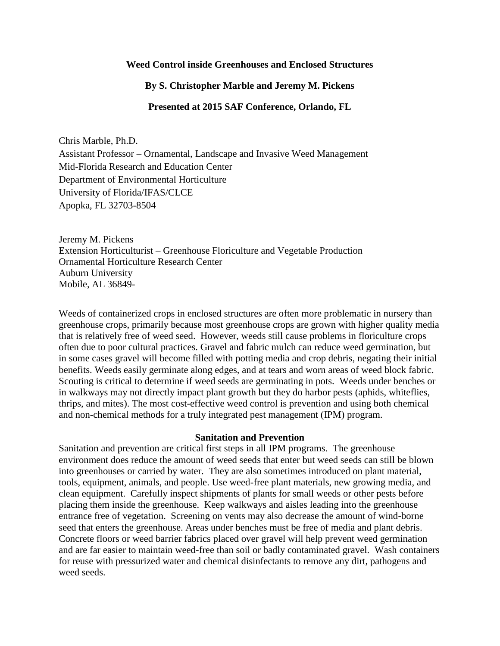### **Weed Control inside Greenhouses and Enclosed Structures**

## **By S. Christopher Marble and Jeremy M. Pickens**

### **Presented at 2015 SAF Conference, Orlando, FL**

Chris Marble, Ph.D. Assistant Professor – Ornamental, Landscape and Invasive Weed Management Mid-Florida Research and Education Center Department of Environmental Horticulture University of Florida/IFAS/CLCE Apopka, FL 32703-8504

Jeremy M. Pickens Extension Horticulturist – Greenhouse Floriculture and Vegetable Production Ornamental Horticulture Research Center Auburn University Mobile, AL 36849-

Weeds of containerized crops in enclosed structures are often more problematic in nursery than greenhouse crops, primarily because most greenhouse crops are grown with higher quality media that is relatively free of weed seed. However, weeds still cause problems in floriculture crops often due to poor cultural practices. Gravel and fabric mulch can reduce weed germination, but in some cases gravel will become filled with potting media and crop debris, negating their initial benefits. Weeds easily germinate along edges, and at tears and worn areas of weed block fabric. Scouting is critical to determine if weed seeds are germinating in pots. Weeds under benches or in walkways may not directly impact plant growth but they do harbor pests (aphids, whiteflies, thrips, and mites). The most cost-effective weed control is prevention and using both chemical and non-chemical methods for a truly integrated pest management (IPM) program.

#### **Sanitation and Prevention**

Sanitation and prevention are critical first steps in all IPM programs. The greenhouse environment does reduce the amount of weed seeds that enter but weed seeds can still be blown into greenhouses or carried by water. They are also sometimes introduced on plant material, tools, equipment, animals, and people. Use weed-free plant materials, new growing media, and clean equipment. Carefully inspect shipments of plants for small weeds or other pests before placing them inside the greenhouse. Keep walkways and aisles leading into the greenhouse entrance free of vegetation. Screening on vents may also decrease the amount of wind-borne seed that enters the greenhouse. Areas under benches must be free of media and plant debris. Concrete floors or weed barrier fabrics placed over gravel will help prevent weed germination and are far easier to maintain weed-free than soil or badly contaminated gravel. Wash containers for reuse with pressurized water and chemical disinfectants to remove any dirt, pathogens and weed seeds.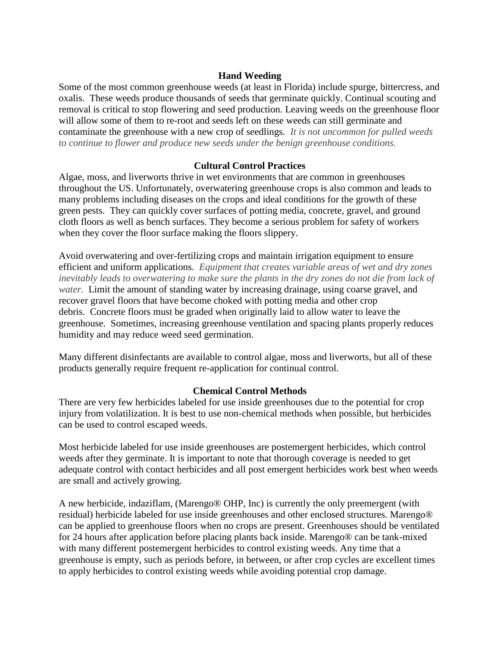# **Hand Weeding**

Some of the most common greenhouse weeds (at least in Florida) include spurge, bittercress, and oxalis. These weeds produce thousands of seeds that germinate quickly. Continual scouting and removal is critical to stop flowering and seed production. Leaving weeds on the greenhouse floor will allow some of them to re-root and seeds left on these weeds can still germinate and contaminate the greenhouse with a new crop of seedlings. *It is not uncommon for pulled weeds to continue to flower and produce new seeds under the benign greenhouse conditions.*

# **Cultural Control Practices**

Algae, moss, and liverworts thrive in wet environments that are common in greenhouses throughout the US. Unfortunately, overwatering greenhouse crops is also common and leads to many problems including diseases on the crops and ideal conditions for the growth of these green pests. They can quickly cover surfaces of potting media, concrete, gravel, and ground cloth floors as well as bench surfaces. They become a serious problem for safety of workers when they cover the floor surface making the floors slippery.

Avoid overwatering and over-fertilizing crops and maintain irrigation equipment to ensure efficient and uniform applications. *Equipment that creates variable areas of wet and dry zones inevitably leads to overwatering to make sure the plants in the dry zones do not die from lack of water.* Limit the amount of standing water by increasing drainage, using coarse gravel, and recover gravel floors that have become choked with potting media and other crop debris. Concrete floors must be graded when originally laid to allow water to leave the greenhouse. Sometimes, increasing greenhouse ventilation and spacing plants properly reduces humidity and may reduce weed seed germination.

Many different disinfectants are available to control algae, moss and liverworts, but all of these products generally require frequent re-application for continual control.

## **Chemical Control Methods**

There are very few herbicides labeled for use inside greenhouses due to the potential for crop injury from volatilization. It is best to use non-chemical methods when possible, but herbicides can be used to control escaped weeds.

Most herbicide labeled for use inside greenhouses are postemergent herbicides, which control weeds after they germinate. It is important to note that thorough coverage is needed to get adequate control with contact herbicides and all post emergent herbicides work best when weeds are small and actively growing.

A new herbicide, indaziflam, (Marengo® OHP, Inc) is currently the only preemergent (with residual) herbicide labeled for use inside greenhouses and other enclosed structures. Marengo® can be applied to greenhouse floors when no crops are present. Greenhouses should be ventilated for 24 hours after application before placing plants back inside. Marengo® can be tank-mixed with many different postemergent herbicides to control existing weeds. Any time that a greenhouse is empty, such as periods before, in between, or after crop cycles are excellent times to apply herbicides to control existing weeds while avoiding potential crop damage.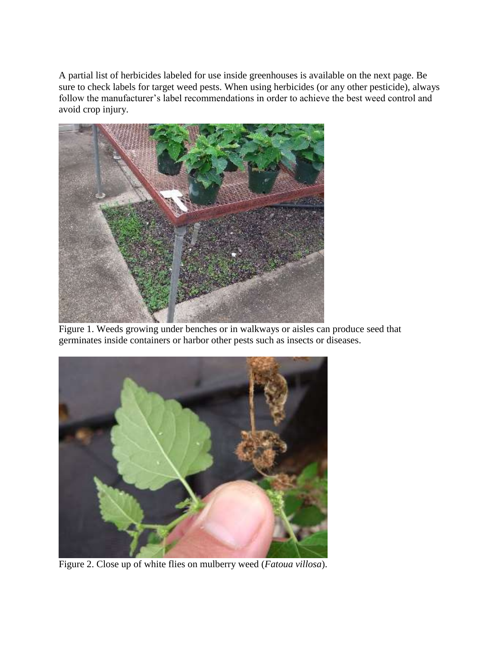A partial list of herbicides labeled for use inside greenhouses is available on the next page. Be sure to check labels for target weed pests. When using herbicides (or any other pesticide), always follow the manufacturer's label recommendations in order to achieve the best weed control and avoid crop injury.



Figure 1. Weeds growing under benches or in walkways or aisles can produce seed that germinates inside containers or harbor other pests such as insects or diseases.



Figure 2. Close up of white flies on mulberry weed (*Fatoua villosa*).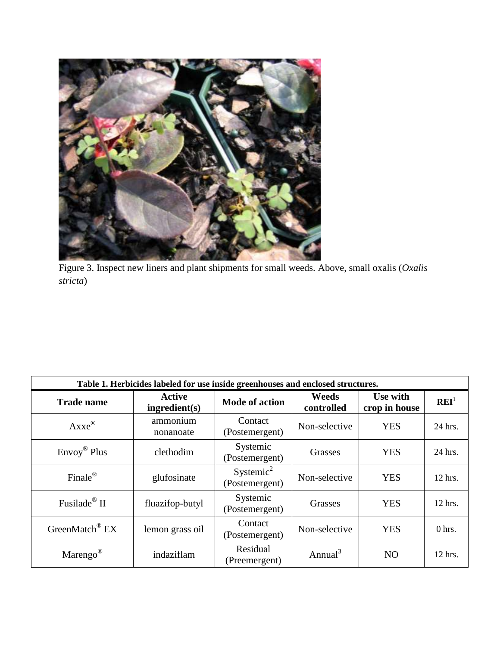

Figure 3. Inspect new liners and plant shipments for small weeds. Above, small oxalis (*Oxalis stricta*)

| Table 1. Herbicides labeled for use inside greenhouses and enclosed structures. |                         |                                         |                     |                           |                  |  |  |  |
|---------------------------------------------------------------------------------|-------------------------|-----------------------------------------|---------------------|---------------------------|------------------|--|--|--|
| <b>Trade name</b>                                                               | Active<br>ingredient(s) | <b>Mode of action</b>                   | Weeds<br>controlled | Use with<br>crop in house | $\mathbf{REI}^1$ |  |  |  |
| $A$ xxe $^{\circledR}$                                                          | ammonium<br>nonanoate   | Contact<br>(Postemergent)               | Non-selective       | <b>YES</b>                | 24 hrs.          |  |  |  |
| $\text{Envoy}^{\circledR}$ Plus                                                 | clethodim               | Systemic<br>(Postemergent)              | Grasses             | YES                       | 24 hrs.          |  |  |  |
| Finale®                                                                         | glufosinate             | Systemic <sup>2</sup><br>(Postemergent) | Non-selective       | <b>YES</b>                | 12 hrs.          |  |  |  |
| Fusilade <sup>®</sup> II                                                        | fluazifop-butyl         | Systemic<br>(Postemergent)              | Grasses             | <b>YES</b>                | 12 hrs.          |  |  |  |
| GreenMatch <sup>®</sup> EX                                                      | lemon grass oil         | Contact<br>(Postemergent)               | Non-selective       | <b>YES</b>                | $0$ hrs.         |  |  |  |
| Marengo <sup>®</sup>                                                            | indaziflam              | Residual<br>(Preemergent)               | Annual <sup>3</sup> | N <sub>O</sub>            | 12 hrs.          |  |  |  |